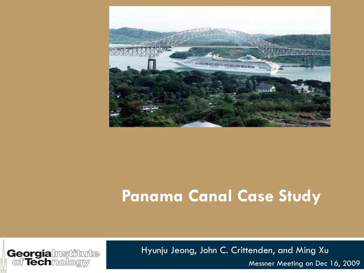

### **Panama Canal Case Study**



Hyunju Jeong, John C. Crittenden, and Ming Xu

Messner Meeting on Dec 16, 2009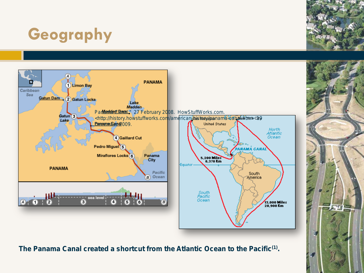# **Geography**





**The Panama Canal created a shortcut from the Atlantic Ocean to the Pacific(1) .**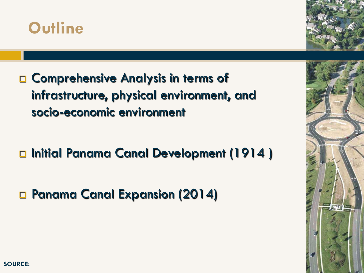



□ Comprehensive Analysis in terms of infrastructure, physical environment, and socio-economic environment

□ Initial Panama Canal Development (1914)

□ Panama Canal Expansion (2014)

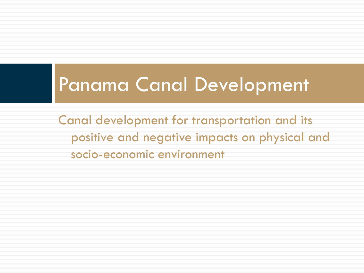# Panama Canal Development

Canal development for transportation and its positive and negative impacts on physical and socio-economic environment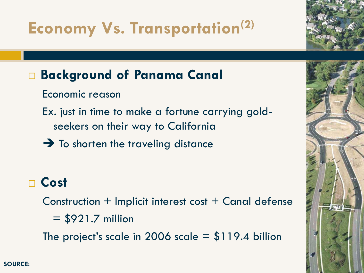# **Economy Vs. Transportation(2)**

### **Background of Panama Canal**

- Economic reason
- Ex. just in time to make a fortune carrying goldseekers on their way to California
- $\rightarrow$  To shorten the traveling distance

### **Cost**

Construction + Implicit interest cost + Canal defense

 $= $921.7$  million

The project's scale in 2006 scale  $= $119.4$  billion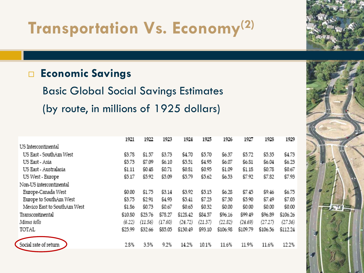## **Transportation Vs. Economy(2)**

#### **Economic Savings**

Basic Global Social Savings Estimates (by route, in millions of 1925 dollars)

|                             | 1921    | 1922    | 1923    | 1924     | 1925    | 1926     | 1927     | 1928     | 1929     |
|-----------------------------|---------|---------|---------|----------|---------|----------|----------|----------|----------|
| US Intercontinental         |         |         |         |          |         |          |          |          |          |
| US East - SouthAm West      | \$3.78  | \$1.57  | \$3.73  | \$4.70   | \$5.70  | \$6.37   | \$5.72   | \$5.35   | \$4.73   |
| US East - Asia              | \$5.73  | \$7.09  | \$6.10  | \$5.51   | \$4.95  | \$6.07   | \$6.81   | \$6.04   | \$6.23   |
| US East - Australasia       | \$1.11  | \$0.48  | \$0.71  | \$0.81   | \$0.95  | \$1.09   | \$1.18   | \$0.78   | \$0.67   |
| US West - Europe            | \$5.17  | \$5.92  | \$5.09  | \$5.79   | \$5.62  | \$6.53   | \$7.92   | \$7.82   | \$7.93   |
| Non-US intercontinental     |         |         |         |          |         |          |          |          |          |
| Europe-Canada West          | \$0.00  | \$1.75  | \$3.14  | \$3.92   | \$5.15  | \$6.28   | \$7.45   | \$9.46   | \$6.75   |
| Europe to SouthAm West      | \$3.75  | \$2.91  | \$4.93  | \$5.41   | \$7.23  | \$7.30   | \$5.90   | \$7.49   | \$7.03   |
| Mexico East to SouthAm West | \$1.86  | \$0.73  | \$0.67  | \$0.65   | \$0.32  | \$0.00   | \$0.00   | \$0.00   | \$0.00   |
| Transcontinental            | \$10.80 | \$23.76 | \$78.27 | \$128.42 | \$84.57 | \$96.16  | \$99.49  | \$96.89  | \$106.26 |
| Minus tolls                 | (6.22)  | (11.56) | (17.60) | (24.72)  | (21.37) | (22.82)  | (24.69)  | (27.27)  | (27.36)  |
| TOTAL                       | \$25.99 | \$32.66 | \$85.05 | \$130.49 | \$93.10 | \$106.98 | \$109.79 | \$106.56 | \$112.24 |
| Social rate of return       | 2.8%    | 3.5%    | 9.2%    | 14.2%    | 10.1%   | 11.6%    | 11.9%    | 11.6%    | 12.2%    |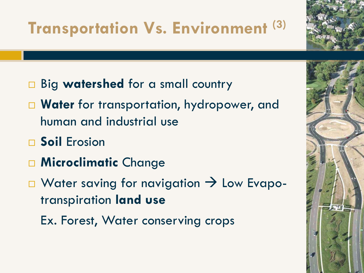# **Transportation Vs. Environment**

- □ Big **watershed** for a small country
- **Water** for transportation, hydropower, and human and industrial use
- **Soil** Erosion
- **Microclimatic** Change
- $\Box$  Water saving for navigation  $\rightarrow$  Low Evapotranspiration **land use**
	- Ex. Forest, Water conserving crops

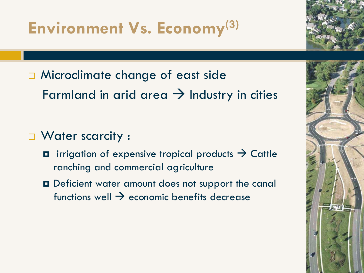# **Environment Vs. Economy(3)**

- □ Microclimate change of east side Farmland in arid area  $\rightarrow$  Industry in cities
- □ Water scarcity :
	- $\blacksquare$  irrigation of expensive tropical products  $\rightarrow$  Cattle ranching and commercial agriculture
	- Deficient water amount does not support the canal functions well  $\rightarrow$  economic benefits decrease

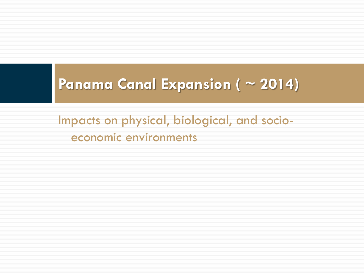### **Panama Canal Expansion ( ~ 2014)**

Impacts on physical, biological, and socioeconomic environments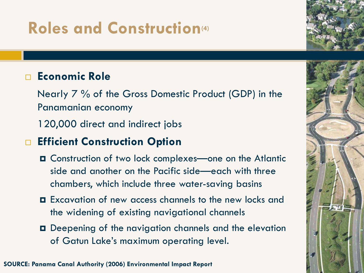# **Roles and Construction(4)**

#### **Economic Role**

Nearly 7 % of the Gross Domestic Product (GDP) in the Panamanian economy

120,000 direct and indirect jobs

#### **Efficient Construction Option**

- Construction of two lock complexes—one on the Atlantic side and another on the Pacific side—each with three chambers, which include three water-saving basins
- Excavation of new access channels to the new locks and the widening of existing navigational channels
- Deepening of the navigation channels and the elevation of Gatun Lake's maximum operating level.

**SOURCE: Panama Canal Authority (2006) Environmental Impact Report**

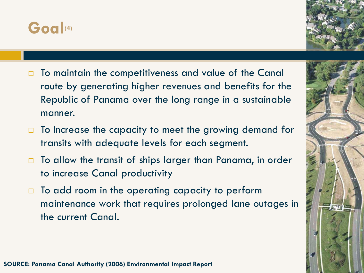



- $\Box$  To maintain the competitiveness and value of the Canal route by generating higher revenues and benefits for the Republic of Panama over the long range in a sustainable manner.
- $\Box$  To Increase the capacity to meet the growing demand for transits with adequate levels for each segment.
- □ To allow the transit of ships larger than Panama, in order to increase Canal productivity
- $\Box$  To add room in the operating capacity to perform maintenance work that requires prolonged lane outages in the current Canal.

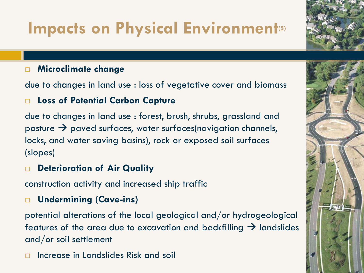# **Impacts on Physical Environment**<sup>(5)</sup>

#### **Microclimate change**

due to changes in land use : loss of vegetative cover and biomass

#### **Loss of Potential Carbon Capture**

due to changes in land use : forest, brush, shrubs, grassland and pasture  $\rightarrow$  paved surfaces, water surfaces(navigation channels, locks, and water saving basins), rock or exposed soil surfaces (slopes)

#### **Deterioration of Air Quality**

construction activity and increased ship traffic

#### **Undermining (Cave-ins)**

potential alterations of the local geological and/or hydrogeological features of the area due to excavation and backfilling  $\rightarrow$  landslides and/or soil settlement

Increase in Landslides Risk and soil

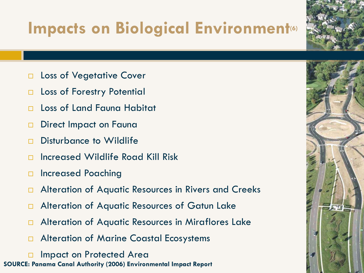# **Impacts on Biological Environment**<sup>60</sup>

- □ Loss of Vegetative Cover
- □ Loss of Forestry Potential
- □ Loss of Land Fauna Habitat
- Direct Impact on Fauna
- □ Disturbance to Wildlife
- Increased Wildlife Road Kill Risk
- □ Increased Poaching
- Alteration of Aquatic Resources in Rivers and Creeks
- □ Alteration of Aquatic Resources of Gatun Lake
- □ Alteration of Aquatic Resources in Miraflores Lake
- □ Alteration of Marine Coastal Ecosystems
- Impact on Protected Area **SOURCE: Panama Canal Authority (2006) Environmental Impact Report**

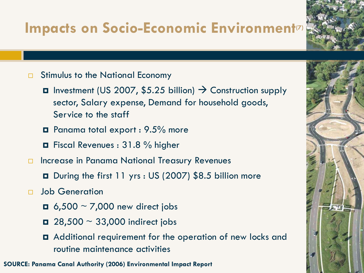### **Impacts on Socio-Economic Environment(7)**

#### Stimulus to the National Economy

- $\Box$  Investment (US 2007, \$5.25 billion)  $\rightarrow$  Construction supply sector, Salary expense, Demand for household goods, Service to the staff
- Panama total export : 9.5% more
- Fiscal Revenues : 31.8 % higher
- □ Increase in Panama National Treasury Revenues
	- During the first 11 yrs : US (2007) \$8.5 billion more
- Job Generation
	- $\blacksquare$  6,500 ~ 7,000 new direct jobs
	- $\blacksquare$  28,500  $\sim$  33,000 indirect jobs
	- Additional requirement for the operation of new locks and routine maintenance activities

**SOURCE: Panama Canal Authority (2006) Environmental Impact Report**

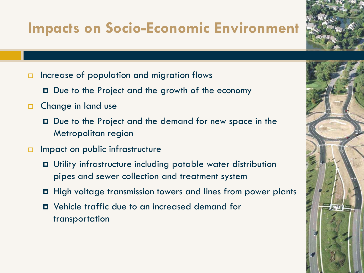### **Impacts on Socio-Economic Environment**

- $\Box$  Increase of population and migration flows
	- **□** Due to the Project and the growth of the economy
- **D** Change in land use
	- Due to the Project and the demand for new space in the Metropolitan region
- **Impact on public infrastructure** 
	- Utility infrastructure including potable water distribution pipes and sewer collection and treatment system
	- High voltage transmission towers and lines from power plants
	- Vehicle traffic due to an increased demand for transportation



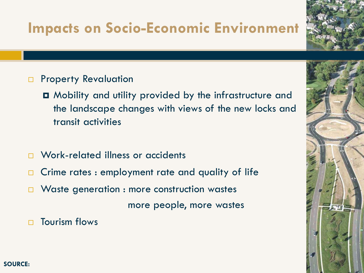### **Impacts on Socio-Economic Environment**

- **Property Revaluation** 
	- Mobility and utility provided by the infrastructure and the landscape changes with views of the new locks and transit activities
- □ Work-related illness or accidents
- $\Box$  Crime rates : employment rate and quality of life
- **Naste generation : more construction wastes**

more people, more wastes

 $\Box$  Tourism flows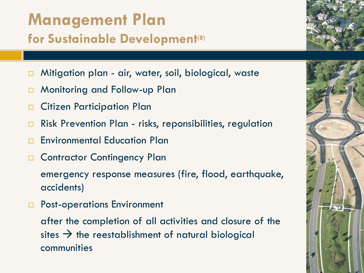### **Management Plan for Sustainable Development(8)**

- Mitigation plan air, water, soil, biological, waste
- Monitoring and Follow-up Plan
- □ Citizen Participation Plan
- □ Risk Prevention Plan risks, reponsibilities, regulation
- **Environmental Education Plan**
- Contractor Contingency Plan

emergency response measures (fire, flood, earthquake, accidents)

**Post-operations Environment** 

after the completion of all activities and closure of the sites  $\rightarrow$  the reestablishment of natural biological communities

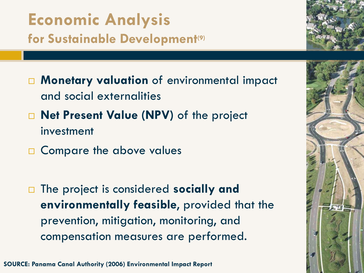### **Economic Analysis for Sustainable Development(9)**

- **Monetary valuation** of environmental impact and social externalities
- **Net Present Value (NPV)** of the project investment
- □ Compare the above values
- The project is considered **socially and environmentally feasible**, provided that the prevention, mitigation, monitoring, and compensation measures are performed.





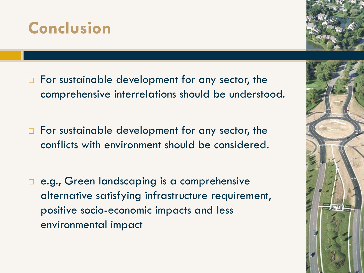

- For sustainable development for any sector, the comprehensive interrelations should be understood.
- $\Box$  For sustainable development for any sector, the conflicts with environment should be considered.
- e.g., Green landscaping is a comprehensive alternative satisfying infrastructure requirement, positive socio-economic impacts and less environmental impact